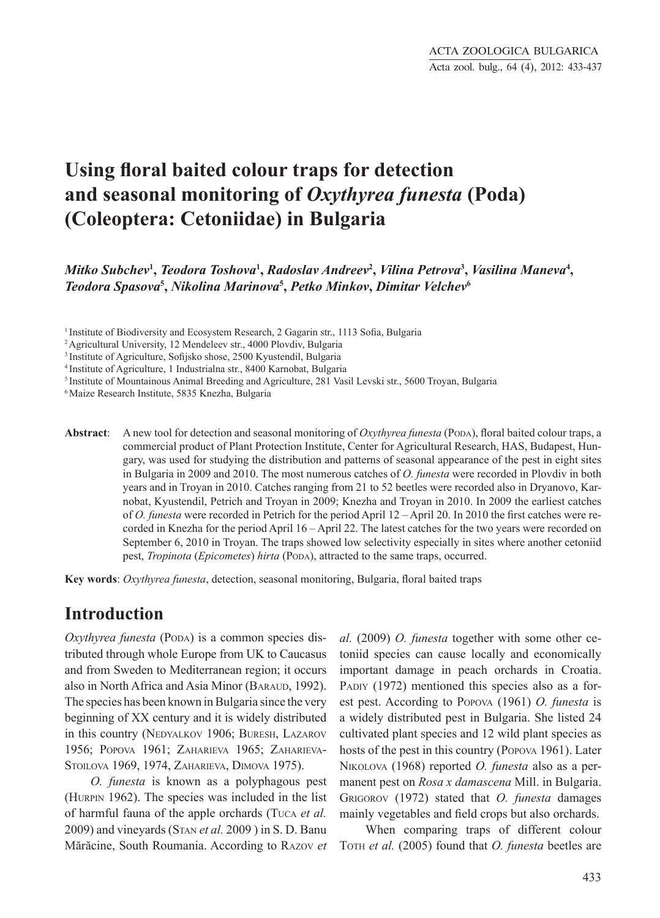# **Using floral baited colour traps for detection and seasonal monitoring of** *Oxythyrea funesta* **(Poda) (Coleoptera: Cetoniidae) in Bulgaria**

*Mitko Subchev***<sup>1</sup> ,** *Teodora Toshova***<sup>1</sup> ,** *Radoslav Andreev***<sup>2</sup> ,** *Vilina Petrova***<sup>3</sup> ,** *Vasilina Maneva***<sup>4</sup> ,** *Teodora Spasova***<sup>5</sup> ,** *Nikolina Marinova***<sup>5</sup> ,** *Petko Minkov***,** *Dimitar Velchev***<sup>6</sup>**

<sup>1</sup> Institute of Biodiversity and Ecosystem Research, 2 Gagarin str., 1113 Sofia, Bulgaria

2 Agricultural University, 12 Mendeleev str., 4000 Plovdiv, Bulgaria

4 Institute of Agriculture, 1 Industrialna str., 8400 Karnobat, Bulgaria

5 Institute of Mountainous Animal Breeding and Agriculture, 281 Vasil Levski str., 5600 Troyan, Bulgaria

<sup>6</sup>Maize Research Institute, 5835 Knezha, Bulgaria

**Abstract**: A new tool for detection and seasonal monitoring of *Oxythyrea funesta* (Poda), floral baited colour traps, a commercial product of Plant Protection Institute, Center for Agricultural Research, HAS, Budapest, Hungary, was used for studying the distribution and patterns of seasonal appearance of the pest in eight sites in Bulgaria in 2009 and 2010. The most numerous catches of *O. funesta* were recorded in Plovdiv in both years and in Troyan in 2010. Catches ranging from 21 to 52 beetles were recorded also in Dryanovo, Karnobat, Kyustendil, Petrich and Troyan in 2009; Knezha and Troyan in 2010. In 2009 the earliest catches of *O. funesta* were recorded in Petrich for the period April 12 – April 20. In 2010 the first catches were recorded in Knezha for the period April 16 – April 22. The latest catches for the two years were recorded on September 6, 2010 in Troyan. The traps showed low selectivity especially in sites where another cetoniid pest, *Tropinota* (*Epicometes*) *hirta* (Popa), attracted to the same traps, occurred.

**Key words**: *Oxythyrea funesta*, detection, seasonal monitoring, Bulgaria, floral baited traps

#### **Introduction**

*Oxythyrea funesta* (Popa) is a common species distributed through whole Europe from UK to Caucasus and from Sweden to Mediterranean region; it occurs also in North Africa and Asia Minor (BARAUD, 1992). The species has been known in Bulgaria since the very beginning of XX century and it is widely distributed in this country (NEDYALKOV 1906; BURESH, LAZAROV 1956; Popova 1961; Zaharieva 1965; Zaharieva-STOILOVA 1969, 1974, ZAHARIEVA, DIMOVA 1975).

*O. funesta* is known as a polyphagous pest (Hurpin 1962). The species was included in the list of harmful fauna of the apple orchards (Tuca *et al.* 2009) and vineyards (Stan *et al.* 2009 ) in S. D. Banu Mărăcine, South Roumania. According to Razov *et*  *al.* (2009) *O. funesta* together with some other cetoniid species can cause locally and economically important damage in peach orchards in Croatia. PADIY (1972) mentioned this species also as a forest pest. According to Popova (1961) *O. funesta* is a widely distributed pest in Bulgaria. She listed 24 cultivated plant species and 12 wild plant species as hosts of the pest in this country (Popova 1961). Later Nikolova (1968) reported *O. funesta* also as a permanent pest on *Rosa x damascena* Mill. in Bulgaria. Grigorov (1972) stated that *O. funesta* damages mainly vegetables and field crops but also orchards.

When comparing traps of different colour TOTH *et al.* (2005) found that *O. funesta* beetles are

<sup>3</sup>Institute of Agriculture, Sofijsko shose, 2500 Kyustendil, Bulgaria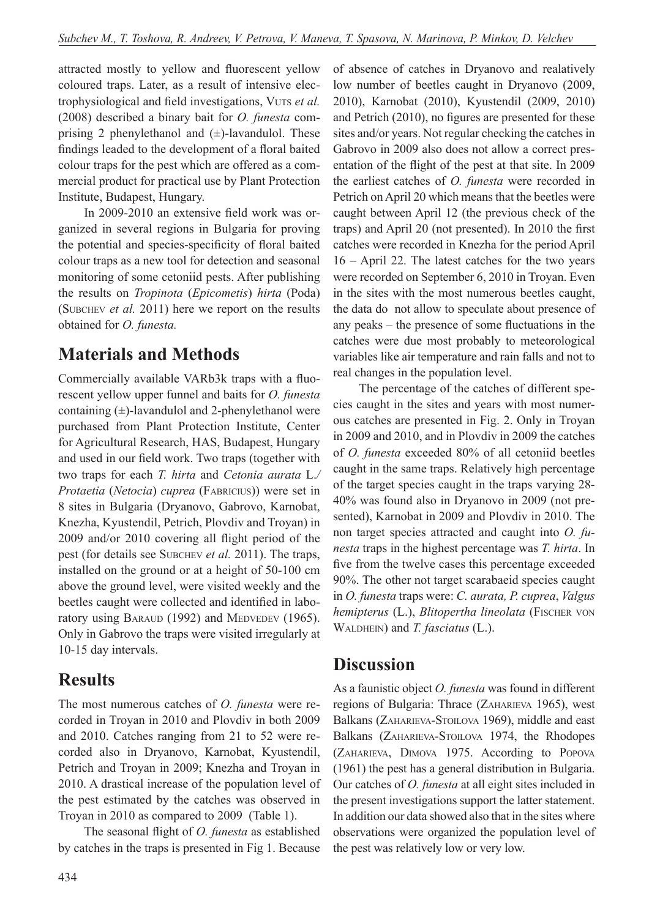attracted mostly to yellow and fluorescent yellow coloured traps. Later, as a result of intensive electrophysiological and field investigations, Vuts *et al.* (2008) described a binary bait for *O. funesta* comprising 2 phenylethanol and  $(\pm)$ -lavandulol. These findings leaded to the development of a floral baited colour traps for the pest which are offered as a commercial product for practical use by Plant Protection Institute, Budapest, Hungary.

In 2009-2010 an extensive field work was organized in several regions in Bulgaria for proving the potential and species-specificity of floral baited colour traps as a new tool for detection and seasonal monitoring of some cetoniid pests. After publishing the results on *Tropinota* (*Epicometis*) *hirta* (Poda) (Subchev *et al.* 2011) here we report on the results obtained for *O. funesta.* 

## **Materials and methods**

Commercially available VARb3k traps with a fluorescent yellow upper funnel and baits for *O. funesta* containing (±)-lavandulol and 2-phenylethanol were purchased from Plant Protection Institute, Center for Agricultural Research, HAS, Budapest, Hungary and used in our field work. Two traps (together with two traps for each *T. hirta* and *Cetonia aurata* L.*/ Protaetia* (*Netocia*) *cuprea* (Fabricius)) were set in 8 sites in Bulgaria (Dryanovo, Gabrovo, Karnobat, Knezha, Kyustendil, Petrich, Plovdiv and Troyan) in 2009 and/or 2010 covering all flight period of the pest (for details see SUBCHEV *et al.* 2011). The traps, installed on the ground or at a height of 50-100 cm above the ground level, were visited weekly and the beetles caught were collected and identified in laboratory using BARAUD (1992) and MEDVEDEV (1965). Only in Gabrovo the traps were visited irregularly at 10-15 day intervals.

### **Results**

The most numerous catches of *O. funesta* were recorded in Troyan in 2010 and Plovdiv in both 2009 and 2010. Catches ranging from 21 to 52 were recorded also in Dryanovo, Karnobat, Kyustendil, Petrich and Troyan in 2009; Knezha and Troyan in 2010. A drastical increase of the population level of the pest estimated by the catches was observed in Troyan in 2010 as compared to 2009 (Table 1).

The seasonal flight of *O. funesta* as established by catches in the traps is presented in Fig 1. Because of absence of catches in Dryanovo and realatively low number of beetles caught in Dryanovo (2009, 2010), Karnobat (2010), Kyustendil (2009, 2010) and Petrich (2010), no figures are presented for these sites and/or years. Not regular checking the catches in Gabrovo in 2009 also does not allow a correct presentation of the flight of the pest at that site. In 2009 the earliest catches of *O. funesta* were recorded in Petrich on April 20 which means that the beetles were caught between April 12 (the previous check of the traps) and April 20 (not presented). In 2010 the first catches were recorded in Knezha for the period April 16 – April 22. The latest catches for the two years were recorded on September 6, 2010 in Troyan. Even in the sites with the most numerous beetles caught, the data do not allow to speculate about presence of any peaks – the presence of some fluctuations in the catches were due most probably to meteorological variables like air temperature and rain falls and not to real changes in the population level.

The percentage of the catches of different species caught in the sites and years with most numerous catches are presented in Fig. 2. Only in Troyan in 2009 and 2010, and in Plovdiv in 2009 the catches of *O. funesta* exceeded 80% of all cetoniid beetles caught in the same traps. Relatively high percentage of the target species caught in the traps varying 28- 40% was found also in Dryanovo in 2009 (not presented), Karnobat in 2009 and Plovdiv in 2010. The non target species attracted and caught into *O. funesta* traps in the highest percentage was *T. hirta*. In five from the twelve cases this percentage exceeded 90%. The other not target scarabaeid species caught in *O. funesta* traps were: *C. aurata, P. cuprea*, *Valgus hemipterus* (L.), *Blitopertha lineolata* (Fischer von WALDHEIN) and *T. fasciatus* (L.).

### **Discussion**

As a faunistic object *O. funesta* was found in different regions of Bulgaria: Thrace (Zaharieva 1965), west Balkans (ZAHARIEVA-STOILOVA 1969), middle and east Balkans (ZAHARIEVA-STOILOVA 1974, the Rhodopes (Zaharieva, Dimova 1975. According to Popova (1961) the pest has a general distribution in Bulgaria. Our catches of *O. funesta* at all eight sites included in the present investigations support the latter statement. In addition our data showed also that in the sites where observations were organized the population level of the pest was relatively low or very low.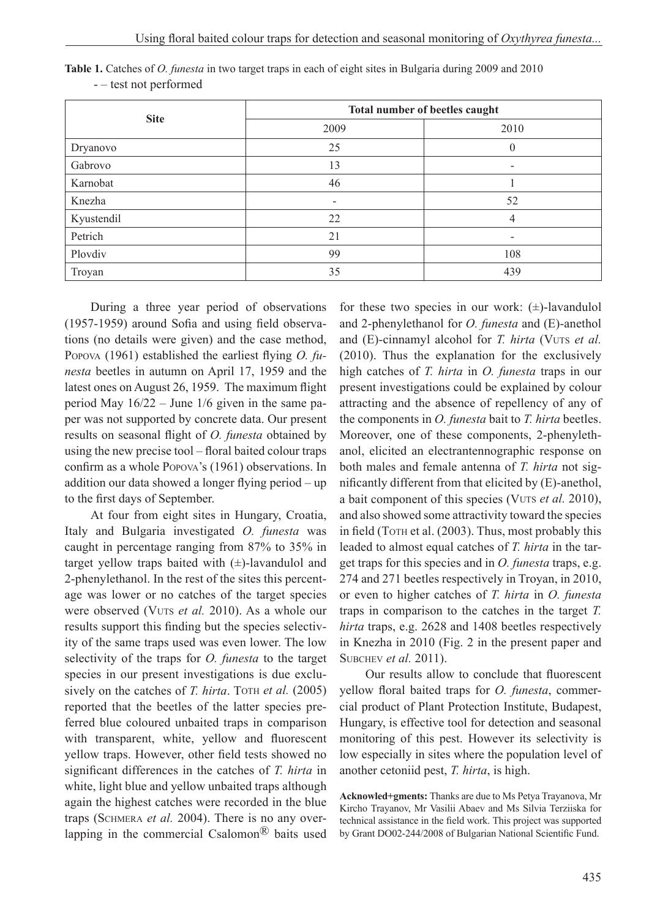| <b>Site</b> | Total number of beetles caught |                          |
|-------------|--------------------------------|--------------------------|
|             | 2009                           | 2010                     |
| Dryanovo    | 25                             | $\theta$                 |
| Gabrovo     | 13                             | $\overline{\phantom{0}}$ |
| Karnobat    | 46                             |                          |
| Knezha      | $\overline{\phantom{0}}$       | 52                       |
| Kyustendil  | 22                             | 4                        |
| Petrich     | 21                             | ۰                        |
| Plovdiv     | 99                             | 108                      |
| Troyan      | 35                             | 439                      |

**Table 1.** Catches of *O. funesta* in two target traps in each of eight sites in Bulgaria during 2009 and 2010 - – test not performed

During a three year period of observations (1957-1959) around Sofia and using field observations (no details were given) and the case method, Popova (1961) established the earliest flying *O. funesta* beetles in autumn on April 17, 1959 and the latest ones on August 26, 1959. The maximum flight period May 16/22 – June 1/6 given in the same paper was not supported by concrete data. Our present results on seasonal flight of *O. funesta* obtained by using the new precise tool – floral baited colour traps confirm as a whole Popova's (1961) observations. In addition our data showed a longer flying period – up to the first days of September.

At four from eight sites in Hungary, Croatia, Italy and Bulgaria investigated *O. funesta* was caught in percentage ranging from 87% to 35% in target yellow traps baited with  $(\pm)$ -lavandulol and 2-phenylethanol. In the rest of the sites this percentage was lower or no catches of the target species were observed (VUTS et al. 2010). As a whole our results support this finding but the species selectivity of the same traps used was even lower. The low selectivity of the traps for *O. funesta* to the target species in our present investigations is due exclusively on the catches of *T. hirta*. Torn *et al.* (2005) reported that the beetles of the latter species preferred blue coloured unbaited traps in comparison with transparent, white, yellow and fluorescent yellow traps. However, other field tests showed no significant differences in the catches of *T. hirta* in white, light blue and yellow unbaited traps although again the highest catches were recorded in the blue traps (Schmera *et al.* 2004). There is no any overlapping in the commercial Csalomon<sup>®</sup> baits used for these two species in our work:  $(\pm)$ -lavandulol and 2-phenylethanol for *O. funesta* and (E)-anethol and (E)-cinnamyl alcohol for *T. hirta* (VUTs *et al.*) (2010). Thus the explanation for the exclusively high catches of *T. hirta* in *O. funesta* traps in our present investigations could be explained by colour attracting and the absence of repellency of any of the components in *O. funesta* bait to *T. hirta* beetles. Moreover, one of these components, 2-phenylethanol, elicited an electrantennographic response on both males and female antenna of *T. hirta* not significantly different from that elicited by (E)-anethol, a bait component of this species (Vuts *et al.* 2010), and also showed some attractivity toward the species in field (Torn et al. (2003). Thus, most probably this leaded to almost equal catches of *T. hirta* in the target traps for this species and in *O. funesta* traps, e.g. 274 and 271 beetles respectively in Troyan, in 2010, or even to higher catches of *T. hirta* in *O. funesta* traps in comparison to the catches in the target *T. hirta* traps, e.g. 2628 and 1408 beetles respectively in Knezha in 2010 (Fig. 2 in the present paper and Subchev *et al.* 2011).

Our results allow to conclude that fluorescent yellow floral baited traps for *O. funesta*, commercial product of Plant Protection Institute, Budapest, Hungary, is effective tool for detection and seasonal monitoring of this pest. However its selectivity is low especially in sites where the population level of another cetoniid pest, *T. hirta*, is high.

**Acknowled+gments:** Thanks are due to Ms Petya Trayanova, Mr Kircho Trayanov, Mr Vasilii Abaev and Ms Silvia Terziiska for technical assistance in the field work. This project was supported by Grant DO02-244/2008 of Bulgarian National Scientific Fund.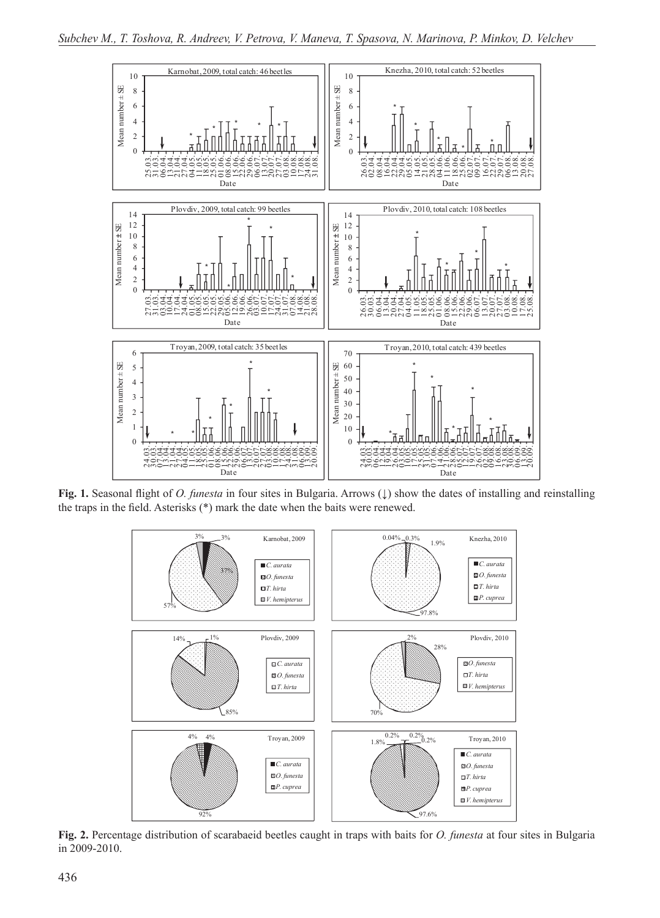

**Fig. 1.** Seasonal flight of *O. funesta* in four sites in Bulgaria. Arrows (↓) show the dates of installing and reinstalling the traps in the field. Asterisks (\*) mark the date when the baits were renewed.



**Fig. 2.** Percentage distribution of scarabaeid beetles caught in traps with baits for *O. funesta* at four sites in Bulgaria in 2009-2010.